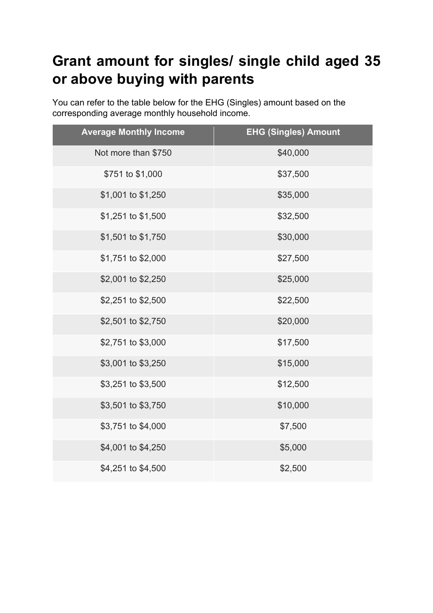## **Grant amount for singles/ single child aged 35 or above buying with parents**

You can refer to the table below for the EHG (Singles) amount based on the corresponding average monthly household income.

| <b>Average Monthly Income</b> | <b>EHG (Singles) Amount</b> |
|-------------------------------|-----------------------------|
| Not more than \$750           | \$40,000                    |
| \$751 to \$1,000              | \$37,500                    |
| \$1,001 to \$1,250            | \$35,000                    |
| \$1,251 to \$1,500            | \$32,500                    |
| \$1,501 to \$1,750            | \$30,000                    |
| \$1,751 to \$2,000            | \$27,500                    |
| \$2,001 to \$2,250            | \$25,000                    |
| \$2,251 to \$2,500            | \$22,500                    |
| \$2,501 to \$2,750            | \$20,000                    |
| \$2,751 to \$3,000            | \$17,500                    |
| \$3,001 to \$3,250            | \$15,000                    |
| \$3,251 to \$3,500            | \$12,500                    |
| \$3,501 to \$3,750            | \$10,000                    |
| \$3,751 to \$4,000            | \$7,500                     |
| \$4,001 to \$4,250            | \$5,000                     |
| \$4,251 to \$4,500            | \$2,500                     |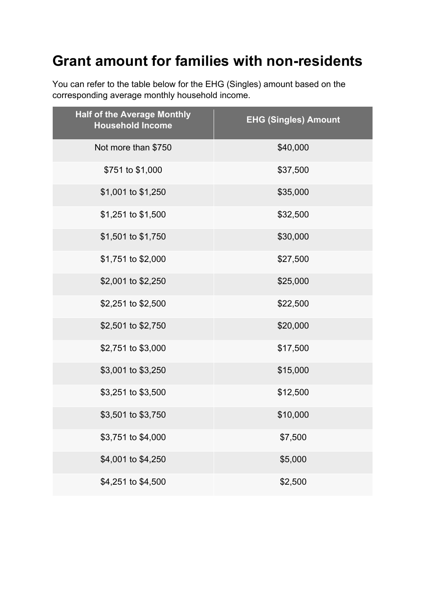## **Grant amount for families with non-residents**

You can refer to the table below for the EHG (Singles) amount based on the corresponding average monthly household income.

| <b>Half of the Average Monthly</b><br><b>Household Income</b> | <b>EHG (Singles) Amount</b> |
|---------------------------------------------------------------|-----------------------------|
| Not more than \$750                                           | \$40,000                    |
| \$751 to \$1,000                                              | \$37,500                    |
| \$1,001 to \$1,250                                            | \$35,000                    |
| \$1,251 to \$1,500                                            | \$32,500                    |
| \$1,501 to \$1,750                                            | \$30,000                    |
| \$1,751 to \$2,000                                            | \$27,500                    |
| \$2,001 to \$2,250                                            | \$25,000                    |
| \$2,251 to \$2,500                                            | \$22,500                    |
| \$2,501 to \$2,750                                            | \$20,000                    |
| \$2,751 to \$3,000                                            | \$17,500                    |
| \$3,001 to \$3,250                                            | \$15,000                    |
| \$3,251 to \$3,500                                            | \$12,500                    |
| \$3,501 to \$3,750                                            | \$10,000                    |
| \$3,751 to \$4,000                                            | \$7,500                     |
| \$4,001 to \$4,250                                            | \$5,000                     |
| \$4,251 to \$4,500                                            | \$2,500                     |